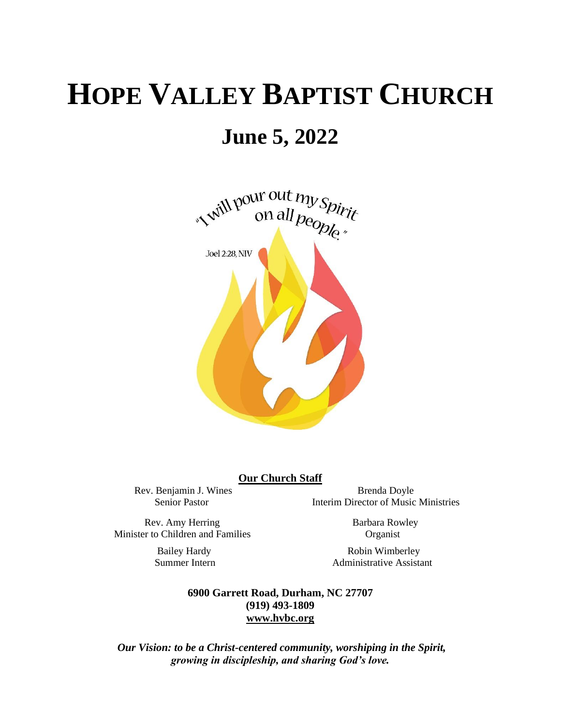# **HOPE VALLEY BAPTIST CHURCH**

# **June 5, 2022**



#### **Our Church Staff**

Rev. Benjamin J. Wines Brenda Doyle Senior Pastor Interim Director of Music Ministries

Rev. Amy Herring Barbara Rowley Minister to Children and Families Organist

Bailey Hardy Robin Wimberley<br>Summer Intern Administrative Assista Administrative Assistant

> **6900 Garrett Road, Durham, NC 27707 (919) 493-1809 [www.hvbc.org](https://nam02.safelinks.protection.outlook.com/?url=http%3A%2F%2Fwww.hvbc.org%2F&data=04%7C01%7Crobin%40hvbc.org%7Ca1947220efe048d45f2008d90f3f5013%7C19334143b857471a909f515a9e93cce3%7C0%7C0%7C637557586922368739%7CUnknown%7CTWFpbGZsb3d8eyJWIjoiMC4wLjAwMDAiLCJQIjoiV2luMzIiLCJBTiI6Ik1haWwiLCJXVCI6Mn0%3D%7C1000&sdata=vD8UY%2Ft%2Bw4fHfO%2FGyoDO3ShGm4jsX4L5zIVu36neNyk%3D&reserved=0)**

*Our Vision: to be a Christ-centered community, worshiping in the Spirit, growing in discipleship, and sharing God's love.*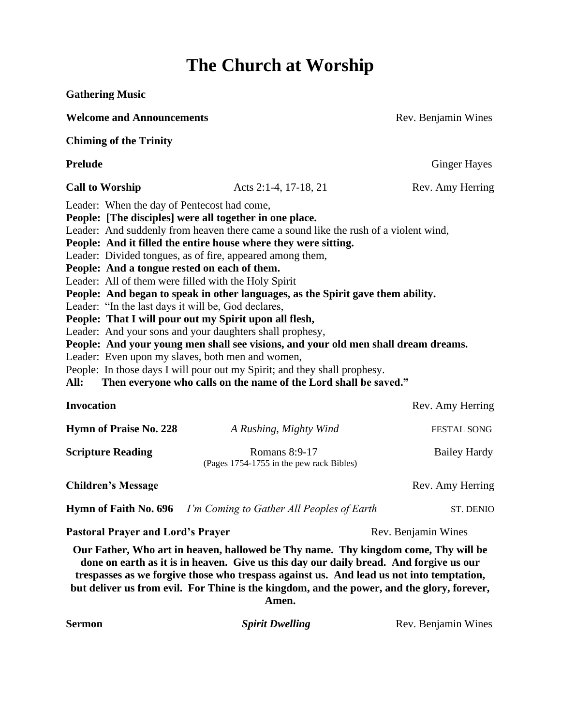## **The Church at Worship**

| <b>Gathering Music</b>                                                                                                                                                                                                                                                                                                                                                                                                                                                                                                                                                                                                                                                                                                                                                                                                                                                                                                                                     |                                                                                                                                                                                                                                                                                                                                                                                 |                     |  |
|------------------------------------------------------------------------------------------------------------------------------------------------------------------------------------------------------------------------------------------------------------------------------------------------------------------------------------------------------------------------------------------------------------------------------------------------------------------------------------------------------------------------------------------------------------------------------------------------------------------------------------------------------------------------------------------------------------------------------------------------------------------------------------------------------------------------------------------------------------------------------------------------------------------------------------------------------------|---------------------------------------------------------------------------------------------------------------------------------------------------------------------------------------------------------------------------------------------------------------------------------------------------------------------------------------------------------------------------------|---------------------|--|
| <b>Welcome and Announcements</b>                                                                                                                                                                                                                                                                                                                                                                                                                                                                                                                                                                                                                                                                                                                                                                                                                                                                                                                           |                                                                                                                                                                                                                                                                                                                                                                                 | Rev. Benjamin Wines |  |
| <b>Chiming of the Trinity</b>                                                                                                                                                                                                                                                                                                                                                                                                                                                                                                                                                                                                                                                                                                                                                                                                                                                                                                                              |                                                                                                                                                                                                                                                                                                                                                                                 |                     |  |
| <b>Prelude</b>                                                                                                                                                                                                                                                                                                                                                                                                                                                                                                                                                                                                                                                                                                                                                                                                                                                                                                                                             |                                                                                                                                                                                                                                                                                                                                                                                 | <b>Ginger Hayes</b> |  |
| <b>Call to Worship</b>                                                                                                                                                                                                                                                                                                                                                                                                                                                                                                                                                                                                                                                                                                                                                                                                                                                                                                                                     | Acts 2:1-4, 17-18, 21                                                                                                                                                                                                                                                                                                                                                           | Rev. Amy Herring    |  |
| People: [The disciples] were all together in one place.<br>Leader: And suddenly from heaven there came a sound like the rush of a violent wind,<br>People: And it filled the entire house where they were sitting.<br>Leader: Divided tongues, as of fire, appeared among them,<br>People: And a tongue rested on each of them.<br>Leader: All of them were filled with the Holy Spirit<br>People: And began to speak in other languages, as the Spirit gave them ability.<br>Leader: "In the last days it will be, God declares,<br>People: That I will pour out my Spirit upon all flesh,<br>Leader: And your sons and your daughters shall prophesy,<br>People: And your young men shall see visions, and your old men shall dream dreams.<br>Leader: Even upon my slaves, both men and women,<br>People: In those days I will pour out my Spirit; and they shall prophesy.<br>Then everyone who calls on the name of the Lord shall be saved."<br>All: |                                                                                                                                                                                                                                                                                                                                                                                 |                     |  |
| <b>Invocation</b>                                                                                                                                                                                                                                                                                                                                                                                                                                                                                                                                                                                                                                                                                                                                                                                                                                                                                                                                          |                                                                                                                                                                                                                                                                                                                                                                                 | Rev. Amy Herring    |  |
| <b>Hymn of Praise No. 228</b>                                                                                                                                                                                                                                                                                                                                                                                                                                                                                                                                                                                                                                                                                                                                                                                                                                                                                                                              | A Rushing, Mighty Wind                                                                                                                                                                                                                                                                                                                                                          | <b>FESTAL SONG</b>  |  |
| <b>Scripture Reading</b>                                                                                                                                                                                                                                                                                                                                                                                                                                                                                                                                                                                                                                                                                                                                                                                                                                                                                                                                   | Romans 8:9-17<br>(Pages 1754-1755 in the pew rack Bibles)                                                                                                                                                                                                                                                                                                                       | <b>Bailey Hardy</b> |  |
| <b>Children's Message</b>                                                                                                                                                                                                                                                                                                                                                                                                                                                                                                                                                                                                                                                                                                                                                                                                                                                                                                                                  |                                                                                                                                                                                                                                                                                                                                                                                 | Rev. Amy Herring    |  |
| Hymn of Faith No. 696                                                                                                                                                                                                                                                                                                                                                                                                                                                                                                                                                                                                                                                                                                                                                                                                                                                                                                                                      | I'm Coming to Gather All Peoples of Earth                                                                                                                                                                                                                                                                                                                                       | ST. DENIO           |  |
| <b>Pastoral Prayer and Lord's Prayer</b>                                                                                                                                                                                                                                                                                                                                                                                                                                                                                                                                                                                                                                                                                                                                                                                                                                                                                                                   |                                                                                                                                                                                                                                                                                                                                                                                 | Rev. Benjamin Wines |  |
|                                                                                                                                                                                                                                                                                                                                                                                                                                                                                                                                                                                                                                                                                                                                                                                                                                                                                                                                                            | Our Father, Who art in heaven, hallowed be Thy name. Thy kingdom come, Thy will be<br>done on earth as it is in heaven. Give us this day our daily bread. And forgive us our<br>trespasses as we forgive those who trespass against us. And lead us not into temptation,<br>but deliver us from evil. For Thine is the kingdom, and the power, and the glory, forever,<br>Amen. |                     |  |
| <b>Sermon</b>                                                                                                                                                                                                                                                                                                                                                                                                                                                                                                                                                                                                                                                                                                                                                                                                                                                                                                                                              | <b>Spirit Dwelling</b>                                                                                                                                                                                                                                                                                                                                                          | Rev. Benjamin Wines |  |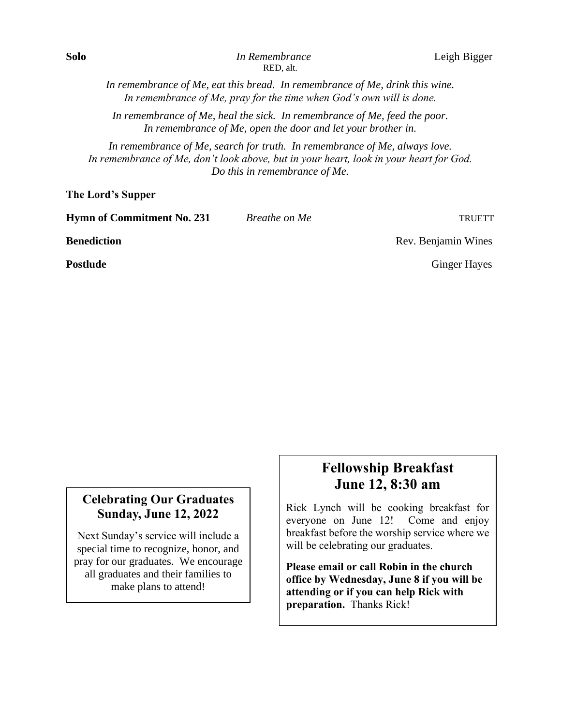*In remembrance of Me, eat this bread. In remembrance of Me, drink this wine. In remembrance of Me, pray for the time when God's own will is done.*

*In remembrance of Me, heal the sick. In remembrance of Me, feed the poor. In remembrance of Me, open the door and let your brother in.*

*In remembrance of Me, search for truth. In remembrance of Me, always love. In remembrance of Me, don't look above, but in your heart, look in your heart for God. Do this in remembrance of Me.*

**The Lord's Supper**

| <b>Hymn of Commitment No. 231</b> | Breathe on Me | <b>TRUETT</b>       |
|-----------------------------------|---------------|---------------------|
| <b>Benediction</b>                |               | Rev. Benjamin Wines |
| <b>Postlude</b>                   |               | <b>Ginger Hayes</b> |
|                                   |               |                     |

#### **Celebrating Our Graduates Sunday, June 12, 2022**

Next Sunday's service will include a special time to recognize, honor, and pray for our graduates. We encourage all graduates and their families to make plans to attend!

### **Fellowship Breakfast June 12, 8:30 am**

Rick Lynch will be cooking breakfast for everyone on June 12! Come and enjoy breakfast before the worship service where we will be celebrating our graduates.

**Please email or call Robin in the church office by Wednesday, June 8 if you will be attending or if you can help Rick with preparation.** Thanks Rick!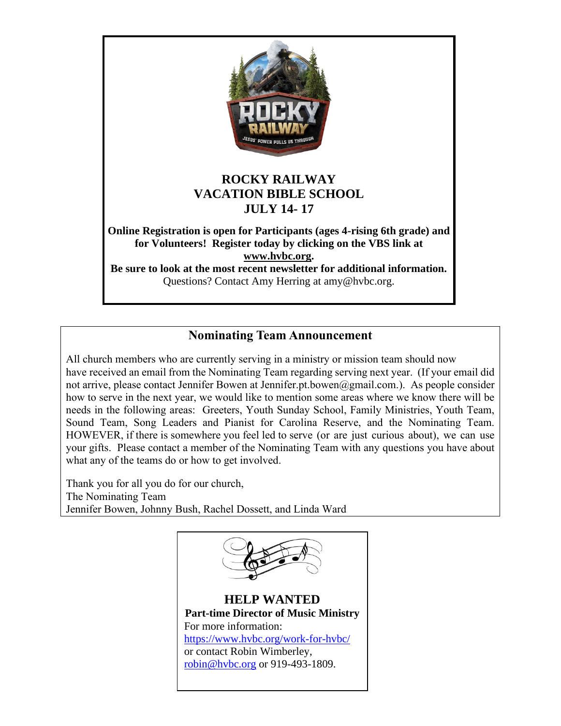

#### **Nominating Team Announcement**

All church members who are currently serving in a ministry or mission team should now have received an email from the Nominating Team regarding serving next year. (If your email did not arrive, please contact Jennifer Bowen at Jennifer.pt.bowen@gmail.com.). As people consider how to serve in the next year, we would like to mention some areas where we know there will be needs in the following areas: Greeters, Youth Sunday School, Family Ministries, Youth Team, Sound Team, Song Leaders and Pianist for Carolina Reserve, and the Nominating Team. HOWEVER, if there is somewhere you feel led to serve (or are just curious about), we can use your gifts. Please contact a member of the Nominating Team with any questions you have about what any of the teams do or how to get involved.

Thank you for all you do for our church, The Nominating Team Jennifer Bowen, Johnny Bush, Rachel Dossett, and Linda Ward